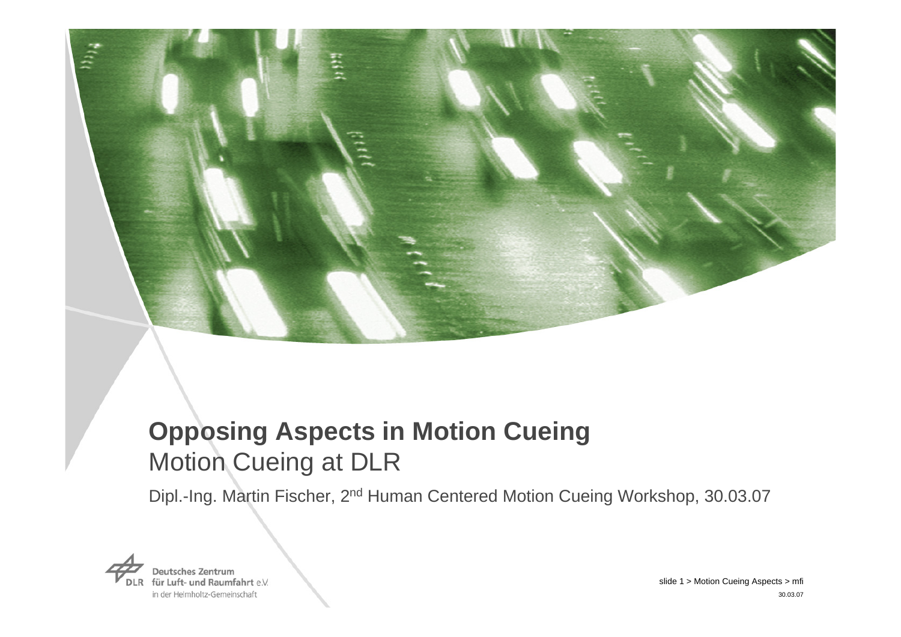

# **Opposing Aspects in Motion Cueing**  Motion Cueing at DLR

Dipl.-Ing. Martin Fischer, 2nd Human Centered Motion Cueing Workshop, 30.03.07

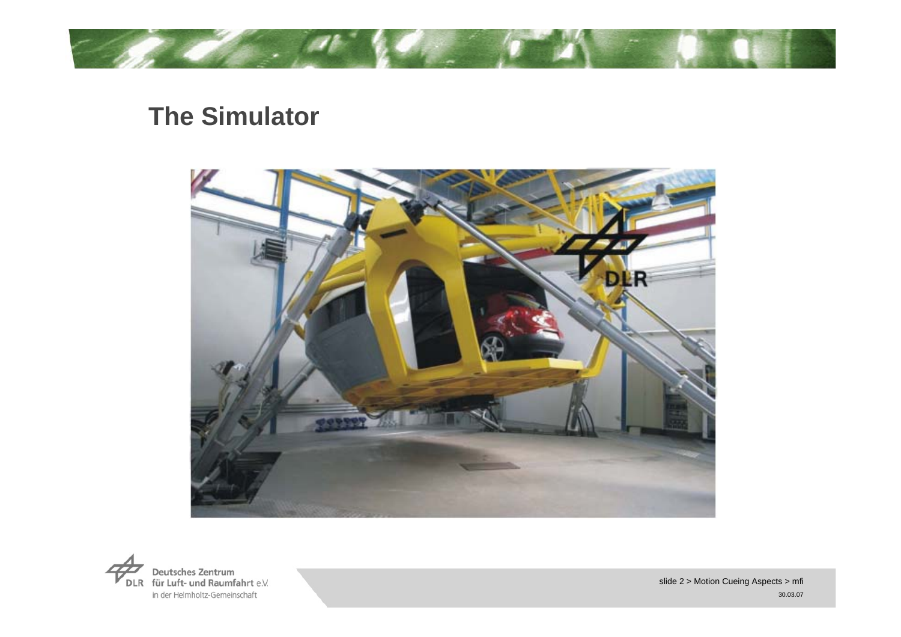

## **The Simulator**



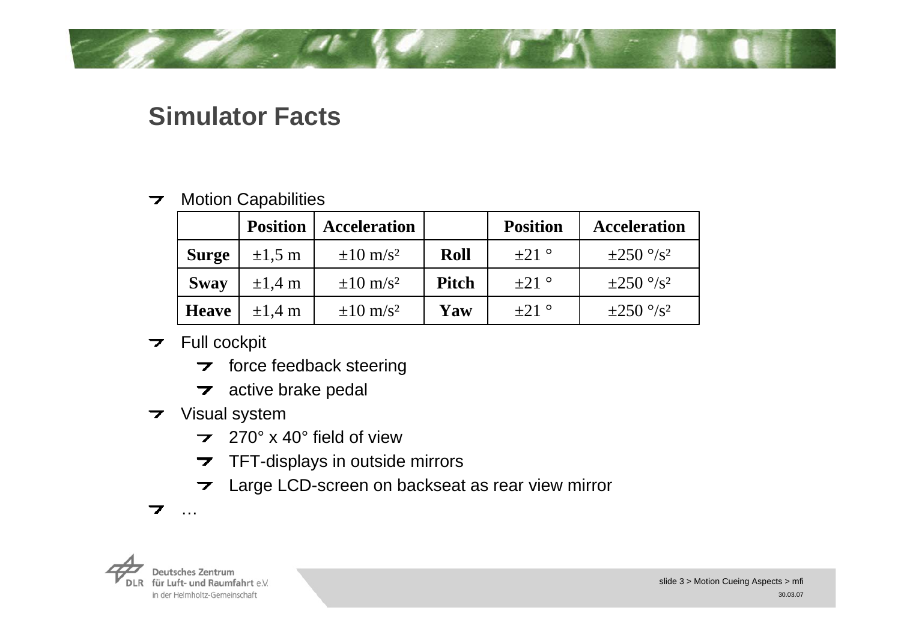## **Simulator Facts**

#### Motion Capabilities  $\overline{\phantom{a}}$

|              | <b>Position</b> | <b>Acceleration</b>    |              | <b>Position</b> | <b>Acceleration</b>        |
|--------------|-----------------|------------------------|--------------|-----------------|----------------------------|
| <b>Surge</b> | $\pm 1.5$ m     | $\pm 10 \text{ m/s}^2$ | Roll         | $\pm 21$ °      | $\pm 250$ °/s <sup>2</sup> |
| <b>Sway</b>  | $\pm 1.4$ m     | $\pm 10 \text{ m/s}^2$ | <b>Pitch</b> | $+21$ °         | $\pm 250$ °/s <sup>2</sup> |
| <b>Heave</b> | $\pm 1.4$ m     | $\pm 10 \text{ m/s}^2$ | Yaw          | $+21$ °         | $\pm 250^{\circ}/s^2$      |

#### $\overline{\phantom{a}}$  Full cockpit

- $\triangleright$  force feedback steering
- $\rightarrow$  active brake pedal
- **7** Visual system
	- 270° x 40° field of view $\overline{\phantom{a}}$
	- $\overline{\phantom{a}}$ TFT-displays in outside mirrors
	- Large LCD-screen on backseat as rear view mirror  $\overline{\phantom{a}}$



…

7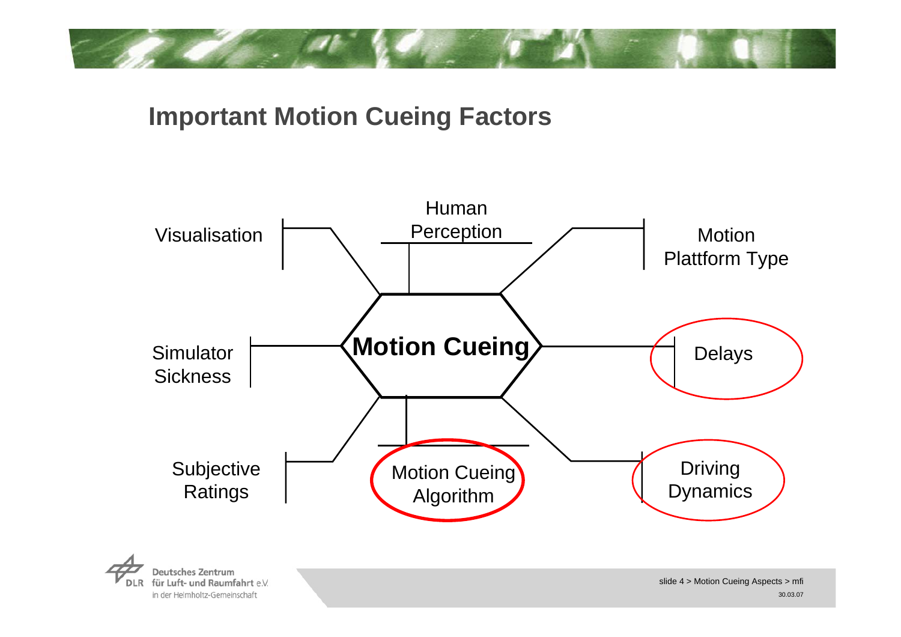

## **Important Motion Cueing Factors**

in der Helmholtz-Gemeinschaft

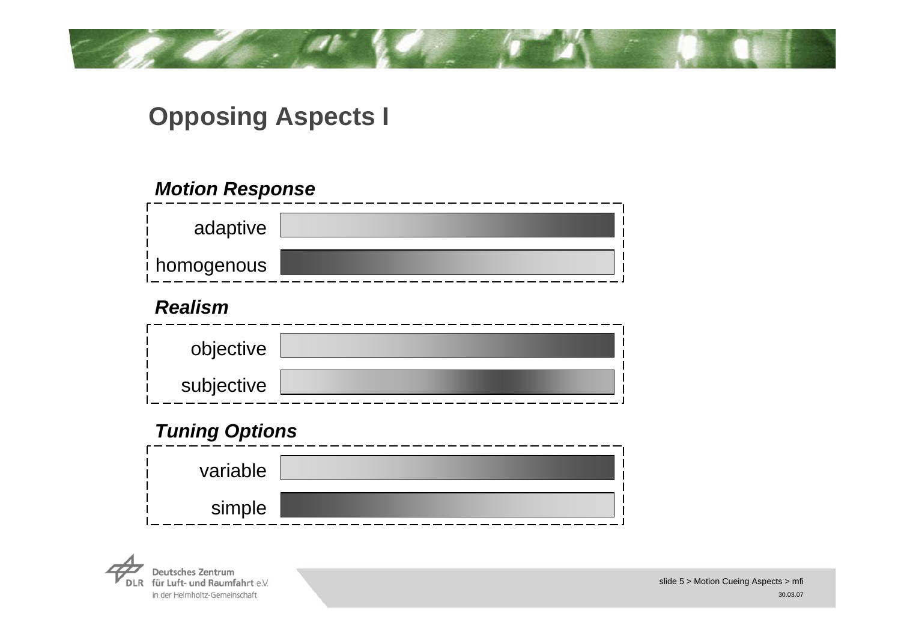

## **Opposing Aspects I**

### *Motion Response*

| adaptive     |  |
|--------------|--|
| ∣ homogenous |  |

### *Realism*

| objective  |  |
|------------|--|
| subjective |  |

### *Tuning Options*

| variable |  |
|----------|--|
| simple   |  |

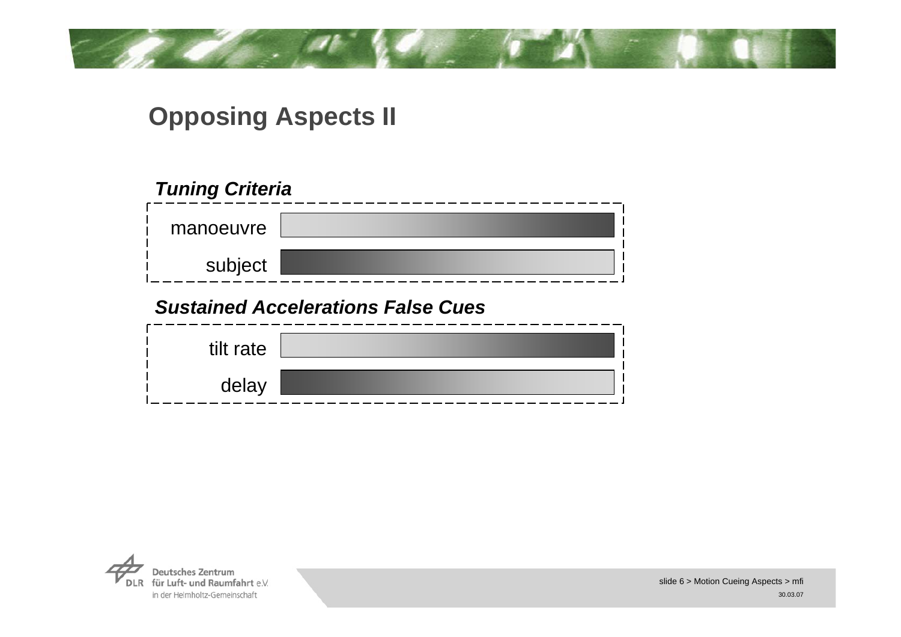## **Opposing Aspects II**

### *Tuning Criteria*

| manoeuvre |  |
|-----------|--|
| subject   |  |

### *Sustained Accelerations False Cues*

| tilt rate |  |
|-----------|--|
| delay     |  |

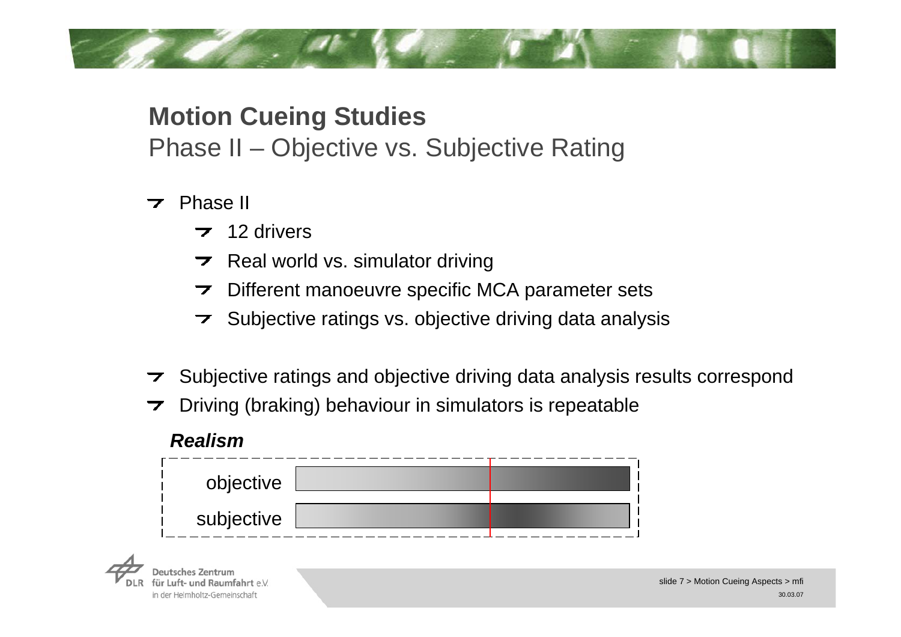## **Motion Cueing Studies** Phase II – Objective vs. Subjective Rating

 $\overline{z}$  Phase II

*Realism*

- $\overline{7}$  12 drivers
- $\triangleright$  Real world vs. simulator driving
- Different manoeuvre specific MCA parameter sets  $\overline{\phantom{a}}$
- $\triangleright$  Subjective ratings vs. objective driving data analysis
- $\triangleright$  Subjective ratings and objective driving data analysis results correspond
- Driving (braking) behaviour in simulators is repeatable

| Realism    |  |
|------------|--|
| objective  |  |
| subjective |  |

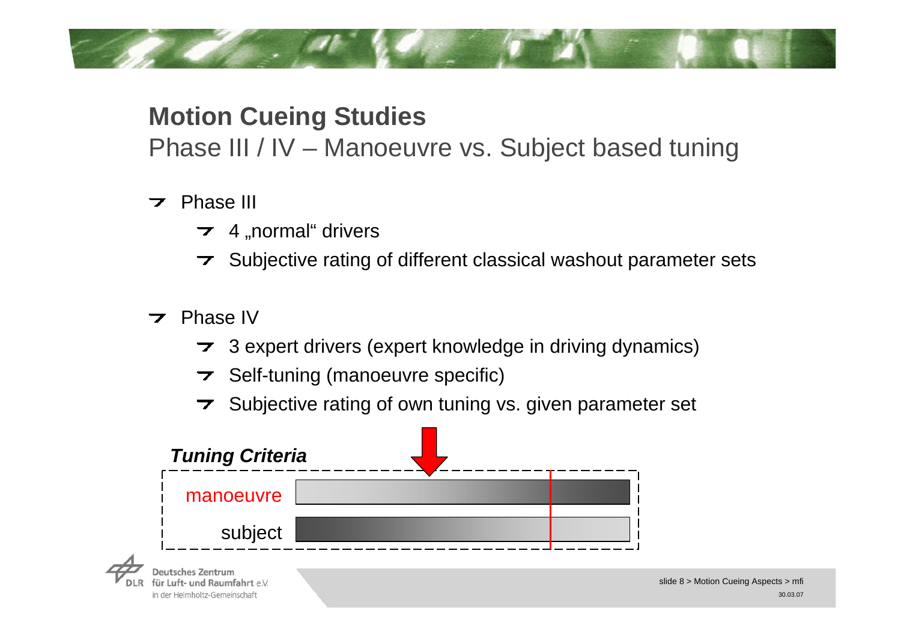## **Motion Cueing Studies**

Phase III / IV – Manoeuvre vs. Subject based tuning

## $\overline{z}$  Phase III

- $\rightarrow$  4 "normal" drivers
- $\triangleright$  Subjective rating of different classical washout parameter sets
- $\overline{\phantom{a}}$  Phase IV

für Luft- und Raumfahrt e.V. in der Helmholtz-Gemeinschaft

- 3 expert drivers (expert knowledge in driving dynamics)
- $\triangleright$  Self-tuning (manoeuvre specific)
- $\triangleright$  Subjective rating of own tuning vs. given parameter set

| <b>Tuning Criteria</b> |  |
|------------------------|--|
| manoeuvre              |  |
| subject                |  |
|                        |  |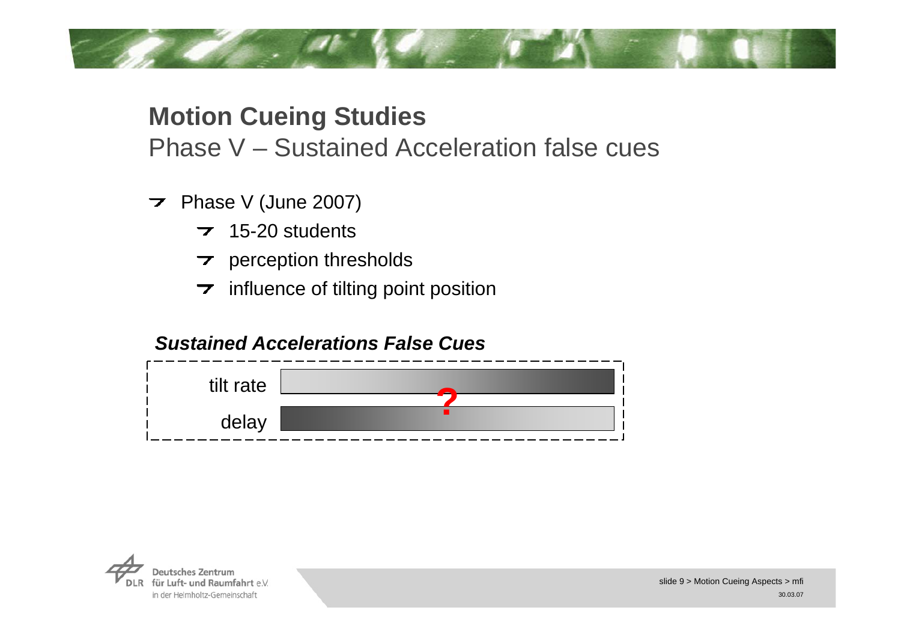## **Motion Cueing Studies**

Phase V – Sustained Acceleration false cues

- $\triangleright$  Phase V (June 2007)
	- $\overline{2}$  15-20 students
	- $\rightarrow$  perception thresholds
	- $\rightarrow$  influence of tilting point position

### *Sustained Accelerations False Cues*



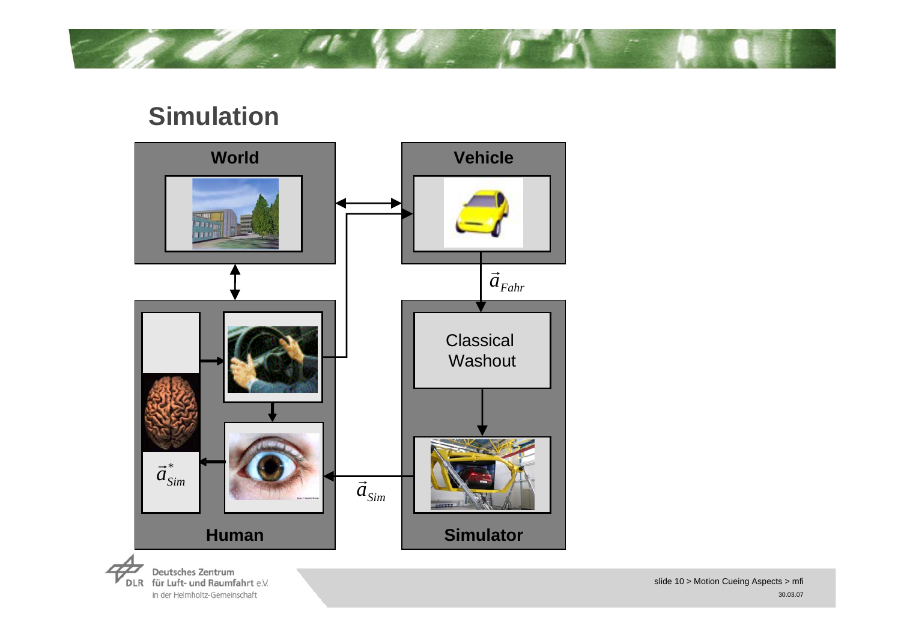## **Simulation**



**Deutsches Zentrum** DLR für Luft- und Raumfahrt e.V. in der Helmholtz-Gemeinschaft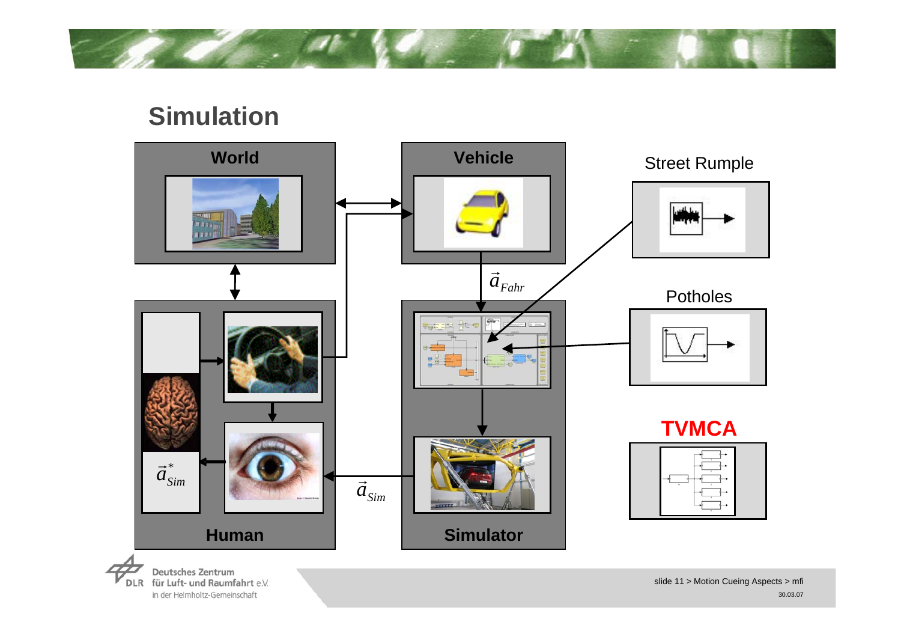## **Simulation**



**Deutsches Zentrum** DLR für Luft- und Raumfahrt e.V. in der Helmholtz-Gemeinschaft

slide 11 > Motion Cueing Aspects > mfi 30.03.07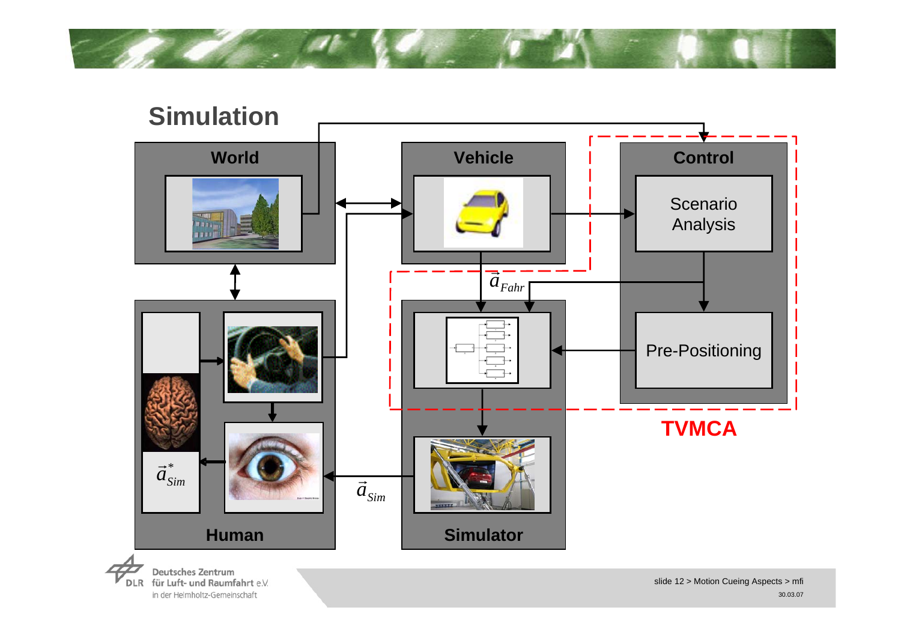



DLR für Luft- und Raumfahrt e.V. in der Helmholtz-Gemeinschaft

slide 12 > Motion Cueing Aspects > mfi 30.03.07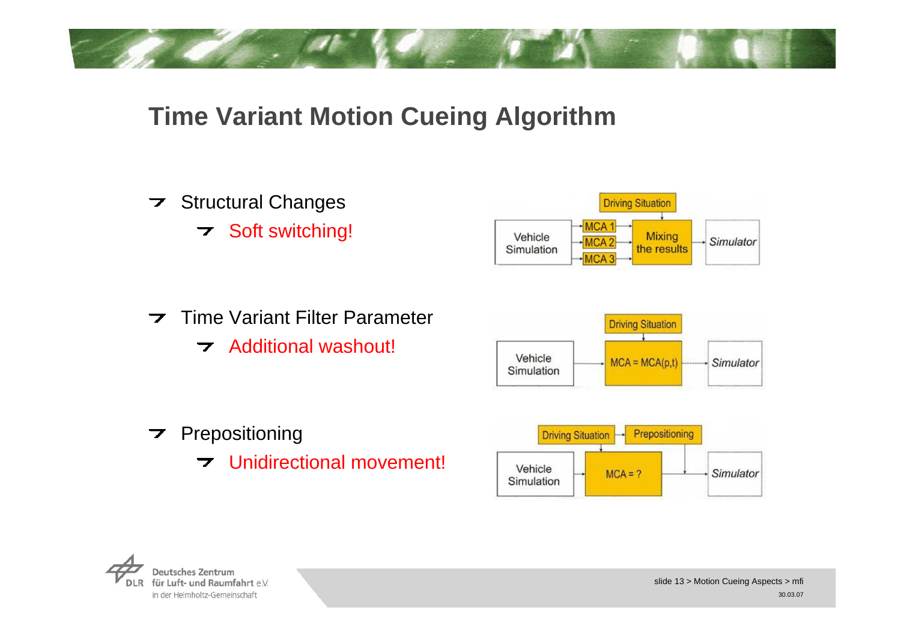## **Time Variant Motion Cueing Algorithm**

 $\triangleright$  Structural Changes **7** Soft switching!



 $\overline{\phantom{a}}$ Time Variant Filter Parameter **7** Additional washout!



- $\triangleright$  Prepositioning
	- Unidirectional movement!



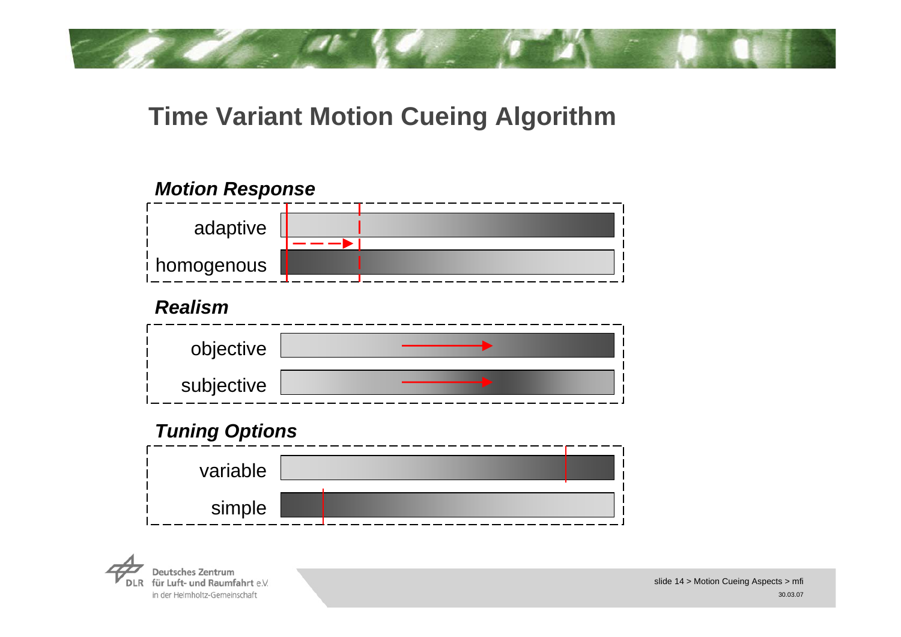## **Time Variant Motion Cueing Algorithm**

### *Motion Response*



#### *Realism*

| objective  |  |
|------------|--|
| subjective |  |

### *Tuning Options*